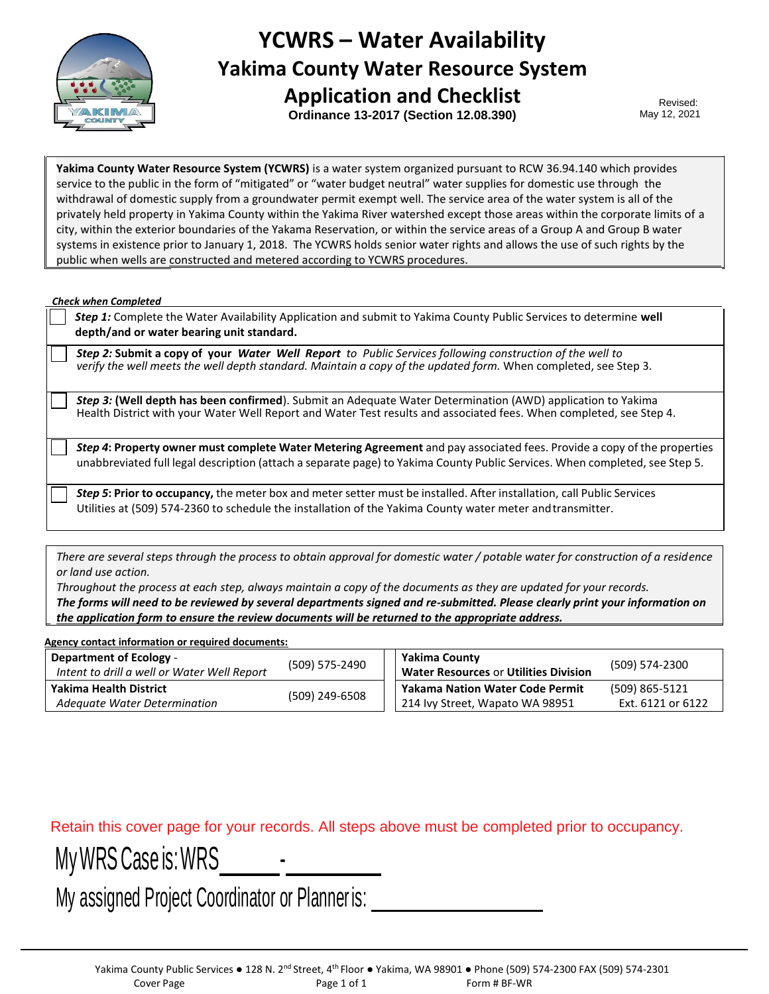

## **YCWRS – Water Availability Yakima County Water Resource System**

**Application and Checklist Ordinance 13-2017 (Section 12.08.390)**

Revised: May 12, 2021

**Yakima County Water Resource System (YCWRS)** is a water system organized pursuant to RCW 36.94.140 which provides service to the public in the form of "mitigated" or "water budget neutral" water supplies for domestic use through the withdrawal of domestic supply from a groundwater permit exempt well. The service area of the water system is all of the privately held property in Yakima County within the Yakima River watershed except those areas within the corporate limits of a city, within the exterior boundaries of the Yakama Reservation, or within the service areas of a Group A and Group B water systems in existence prior to January 1, 2018. The YCWRS holds senior water rights and allows the use of such rights by the public when wells are constructed and metered according to YCWRS procedures.

*Check when Completed*

*Step 1:* Complete the Water Availability Application and submit to Yakima County Public Services to determine **well depth/and or water bearing unit standard.**

*Step 2:* **Submit a copy of your** *Water Well Report to Public Services following construction of the well to verify the well meets the well depth standard. Maintain a copy of the updated form.* When completed, see Step 3.

*Step 3:* **(Well depth has been confirmed**). Submit an Adequate Water Determination (AWD) application to Yakima Health District with your Water Well Report and Water Test results and associated fees. When completed, see Step 4.

*Step 4***: Property owner must complete Water Metering Agreement** and pay associated fees. Provide a copy of the properties unabbreviated full legal description (attach a separate page) to Yakima County Public Services. When completed, see Step 5.

*Step 5***: Prior to occupancy,** the meter box and metersetter must be installed. After installation, call Public Services Utilities at (509) 574-2360 to schedule the installation of the Yakima County water meter andtransmitter.

*There are several steps through the process to obtain approval for domestic water / potable water for construction of a residence or land use action.*

*Throughout the process at each step, always maintain a copy of the documents as they are updated for your records. The forms will need to be reviewed by several departments signed and re-submitted. Please clearly print your information on the application form to ensure the review documents will be returned to the appropriate address.*

| Agency contact information or required documents: |                |                                              |                   |  |
|---------------------------------------------------|----------------|----------------------------------------------|-------------------|--|
| <b>Department of Ecology -</b>                    | (509) 575-2490 | Yakima County                                | (509) 574-2300    |  |
| Intent to drill a well or Water Well Report       |                | <b>Water Resources or Utilities Division</b> |                   |  |
| <b>Yakima Health District</b>                     | (509) 249-6508 | <b>Yakama Nation Water Code Permit</b>       | (509) 865-5121    |  |
| Adequate Water Determination                      |                | 214 Ivy Street, Wapato WA 98951              | Ext. 6121 or 6122 |  |

Retain this cover page for your records. All steps above must be completed prior to occupancy.

My WRS Case is: WRS

My assigned Project Coordinator or Planner is: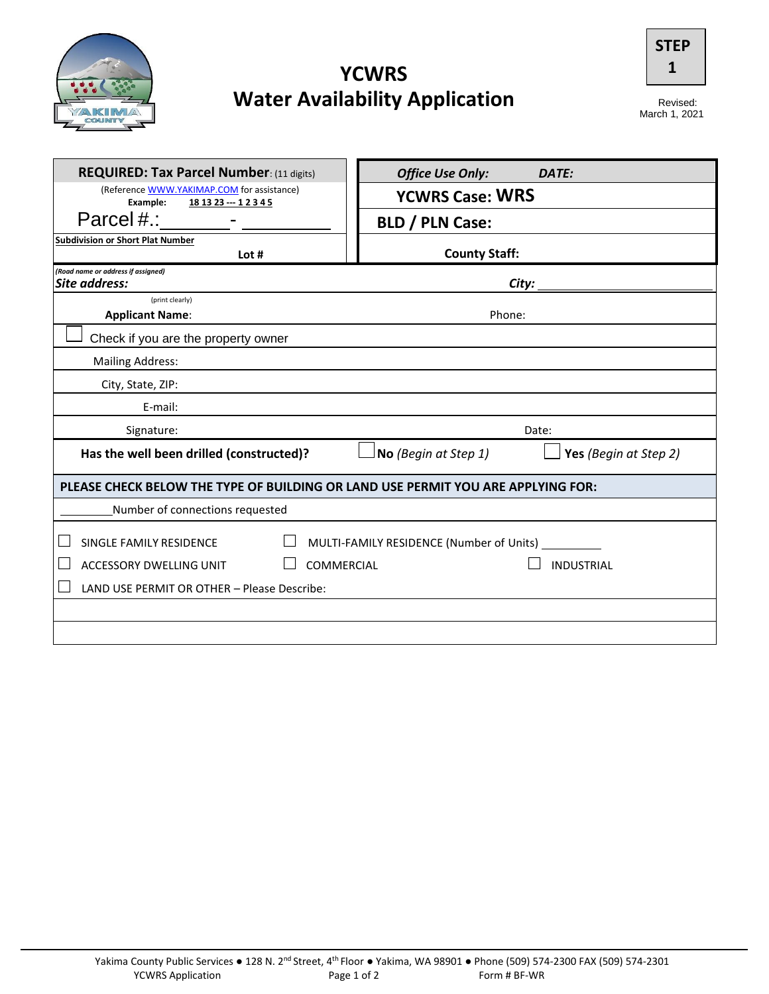

## **YCWRS Water Availability Application**



Revised:<br>March 1, 2021

| <b>REQUIRED: Tax Parcel Number: (11 digits)</b>                                           | <b>Office Use Only:</b><br>DATE:         |  |  |
|-------------------------------------------------------------------------------------------|------------------------------------------|--|--|
| (Reference WWW.YAKIMAP.COM for assistance)                                                |                                          |  |  |
| Example:<br>18 13 23 -- 1 2 3 4 5                                                         | <b>YCWRS Case: WRS</b>                   |  |  |
| Parcel#.:                                                                                 | <b>BLD / PLN Case:</b>                   |  |  |
| <b>Subdivision or Short Plat Number</b>                                                   |                                          |  |  |
| Lot #                                                                                     | <b>County Staff:</b>                     |  |  |
| (Road name or address if assigned)<br>Site address:                                       |                                          |  |  |
| (print clearly)                                                                           |                                          |  |  |
| <b>Applicant Name:</b>                                                                    | Phone:                                   |  |  |
| Check if you are the property owner                                                       |                                          |  |  |
| <b>Mailing Address:</b>                                                                   |                                          |  |  |
| City, State, ZIP:                                                                         |                                          |  |  |
| E-mail:                                                                                   |                                          |  |  |
| Signature:                                                                                | Date:                                    |  |  |
| Has the well been drilled (constructed)?<br>Yes (Begin at Step 2)<br>No (Begin at Step 1) |                                          |  |  |
| PLEASE CHECK BELOW THE TYPE OF BUILDING OR LAND USE PERMIT YOU ARE APPLYING FOR:          |                                          |  |  |
| Number of connections requested                                                           |                                          |  |  |
| SINGLE FAMILY RESIDENCE                                                                   | MULTI-FAMILY RESIDENCE (Number of Units) |  |  |
| <b>ACCESSORY DWELLING UNIT</b>                                                            | COMMERCIAL<br><b>INDUSTRIAL</b>          |  |  |
| LAND USE PERMIT OR OTHER - Please Describe:                                               |                                          |  |  |
|                                                                                           |                                          |  |  |
|                                                                                           |                                          |  |  |